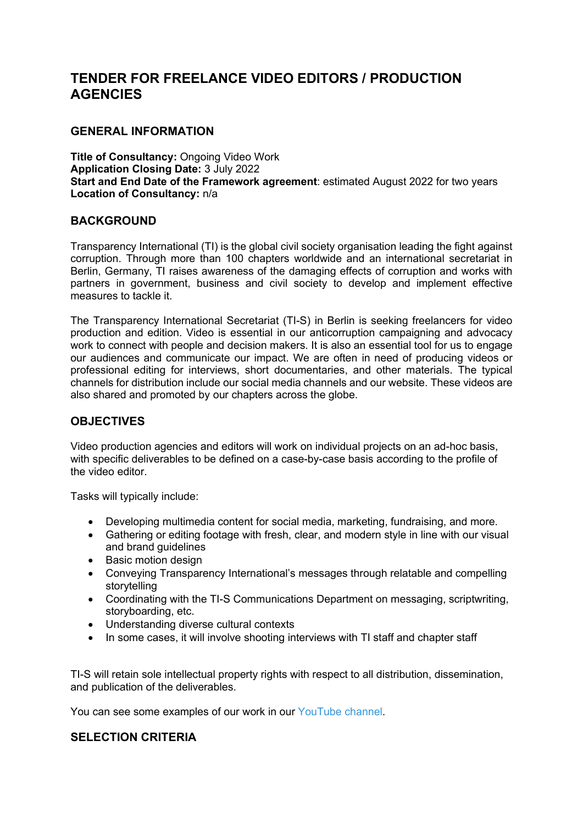# **TENDER FOR FREELANCE VIDEO EDITORS / PRODUCTION AGENCIES**

## **GENERAL INFORMATION**

**Title of Consultancy:** Ongoing Video Work **Application Closing Date:** 3 July 2022 **Start and End Date of the Framework agreement**: estimated August 2022 for two years **Location of Consultancy:** n/a

#### **BACKGROUND**

Transparency International (TI) is the global civil society organisation leading the fight against corruption. Through more than 100 chapters worldwide and an international secretariat in Berlin, Germany, TI raises awareness of the damaging effects of corruption and works with partners in government, business and civil society to develop and implement effective measures to tackle it.

The Transparency International Secretariat (TI-S) in Berlin is seeking freelancers for video production and edition. Video is essential in our anticorruption campaigning and advocacy work to connect with people and decision makers. It is also an essential tool for us to engage our audiences and communicate our impact. We are often in need of producing videos or professional editing for interviews, short documentaries, and other materials. The typical channels for distribution include our social media channels and our website. These videos are also shared and promoted by our chapters across the globe.

### **OBJECTIVES**

Video production agencies and editors will work on individual projects on an ad-hoc basis, with specific deliverables to be defined on a case-by-case basis according to the profile of the video editor.

Tasks will typically include:

- Developing multimedia content for social media, marketing, fundraising, and more.
- Gathering or editing footage with fresh, clear, and modern style in line with our visual and brand guidelines
- Basic motion design
- Conveying Transparency International's messages through relatable and compelling storytelling
- Coordinating with the TI-S Communications Department on messaging, scriptwriting, storyboarding, etc.
- Understanding diverse cultural contexts
- In some cases, it will involve shooting interviews with TI staff and chapter staff

TI-S will retain sole intellectual property rights with respect to all distribution, dissemination, and publication of the deliverables.

You can see some examples of our work in our YouTube channel.

### **SELECTION CRITERIA**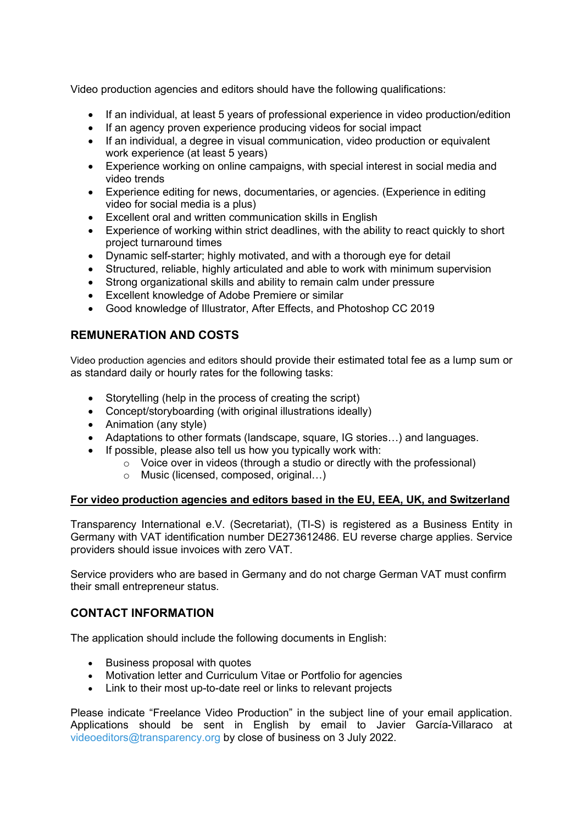Video production agencies and editors should have the following qualifications:

- If an individual, at least 5 years of professional experience in video production/edition
- If an agency proven experience producing videos for social impact
- If an individual, a degree in visual communication, video production or equivalent work experience (at least 5 years)
- Experience working on online campaigns, with special interest in social media and video trends
- Experience editing for news, documentaries, or agencies. (Experience in editing video for social media is a plus)
- Excellent oral and written communication skills in English
- Experience of working within strict deadlines, with the ability to react quickly to short project turnaround times
- Dynamic self-starter; highly motivated, and with a thorough eye for detail
- Structured, reliable, highly articulated and able to work with minimum supervision
- Strong organizational skills and ability to remain calm under pressure
- Excellent knowledge of Adobe Premiere or similar
- Good knowledge of Illustrator, After Effects, and Photoshop CC 2019

## **REMUNERATION AND COSTS**

Video production agencies and editors should provide their estimated total fee as a lump sum or as standard daily or hourly rates for the following tasks:

- Storytelling (help in the process of creating the script)
- Concept/storyboarding (with original illustrations ideally)
- Animation (any style)
- Adaptations to other formats (landscape, square, IG stories…) and languages.
- $\bullet$  If possible, please also tell us how you typically work with:
	- $\circ$  Voice over in videos (through a studio or directly with the professional)
	- o Music (licensed, composed, original…)

#### **For video production agencies and editors based in the EU, EEA, UK, and Switzerland**

Transparency International e.V. (Secretariat), (TI-S) is registered as a Business Entity in Germany with VAT identification number DE273612486. EU reverse charge applies. Service providers should issue invoices with zero VAT.

Service providers who are based in Germany and do not charge German VAT must confirm their small entrepreneur status.

### **CONTACT INFORMATION**

The application should include the following documents in English:

- Business proposal with quotes
- Motivation letter and Curriculum Vitae or Portfolio for agencies
- Link to their most up-to-date reel or links to relevant projects

Please indicate "Freelance Video Production" in the subject line of your email application. Applications should be sent in English by email to Javier García-Villaraco at videoeditors@transparency.org by close of business on 3 July 2022.